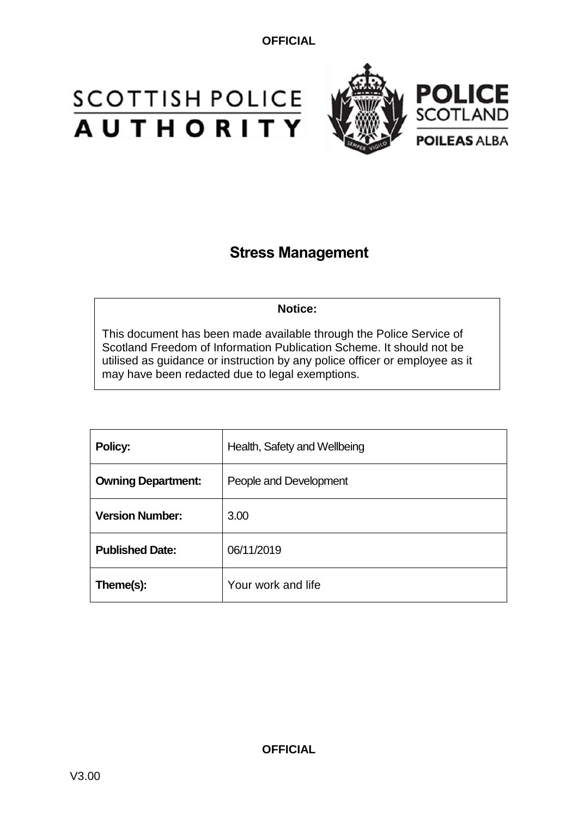# **SCOTTISH POLICE**<br>**AUTHORITY**



### **Stress Management**

**Notice:**

This document has been made available through the Police Service of Scotland Freedom of Information Publication Scheme. It should not be utilised as guidance or instruction by any police officer or employee as it may have been redacted due to legal exemptions.

| Policy:                   | Health, Safety and Wellbeing |
|---------------------------|------------------------------|
| <b>Owning Department:</b> | People and Development       |
| <b>Version Number:</b>    | 3.00                         |
| <b>Published Date:</b>    | 06/11/2019                   |
| Theme(s):                 | Your work and life           |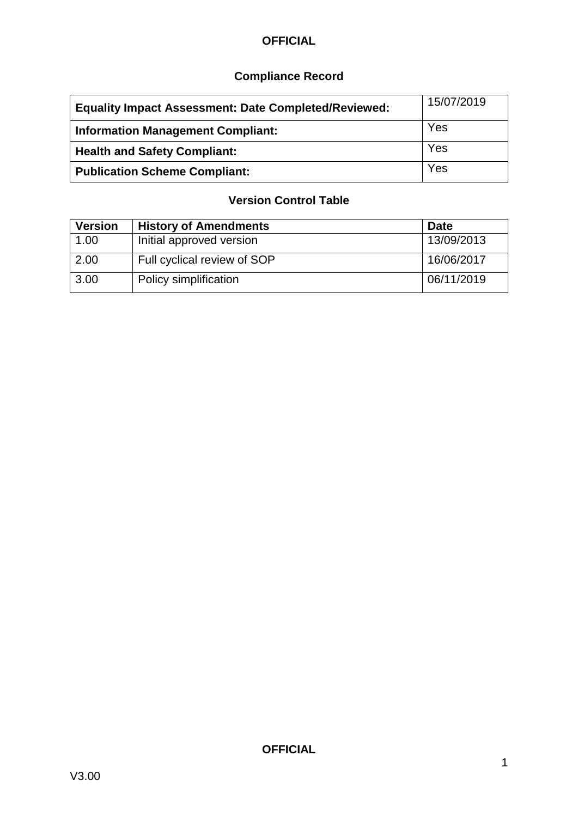### **Compliance Record**

| <b>Equality Impact Assessment: Date Completed/Reviewed:</b> | 15/07/2019 |
|-------------------------------------------------------------|------------|
| <b>Information Management Compliant:</b>                    | Yes        |
| <b>Health and Safety Compliant:</b>                         | Yes        |
| <b>Publication Scheme Compliant:</b>                        | Yes        |

#### **Version Control Table**

| <b>Version</b> | <b>History of Amendments</b> | <b>Date</b> |
|----------------|------------------------------|-------------|
| 1.00           | Initial approved version     | 13/09/2013  |
| 2.00           | Full cyclical review of SOP  | 16/06/2017  |
| 3.00           | Policy simplification        | 06/11/2019  |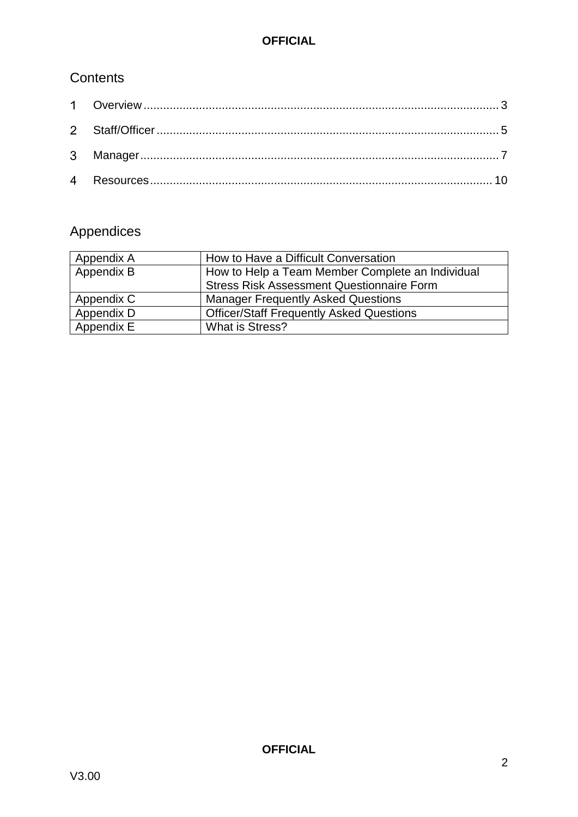#### **Contents**

## Appendices

| Appendix A | How to Have a Difficult Conversation             |
|------------|--------------------------------------------------|
| Appendix B | How to Help a Team Member Complete an Individual |
|            | <b>Stress Risk Assessment Questionnaire Form</b> |
| Appendix C | <b>Manager Frequently Asked Questions</b>        |
| Appendix D | <b>Officer/Staff Frequently Asked Questions</b>  |
| Appendix E | What is Stress?                                  |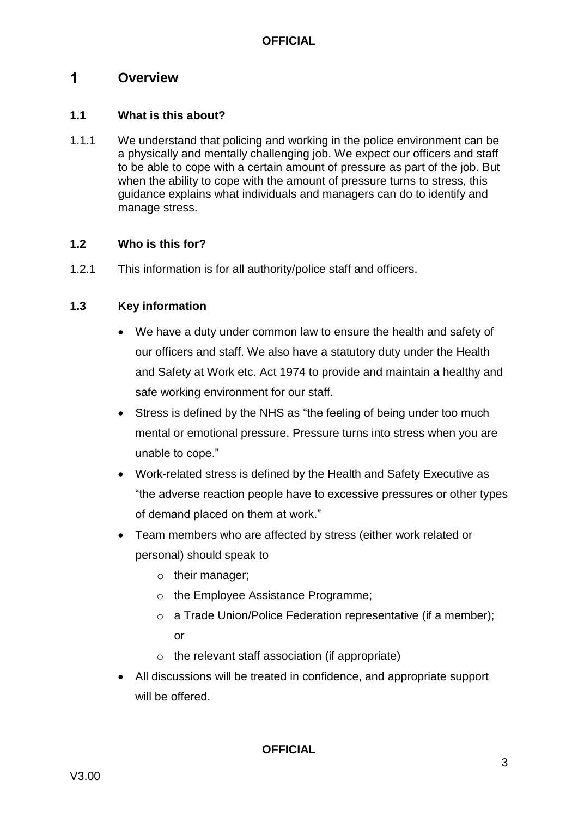#### <span id="page-3-0"></span> $\blacktriangleleft$ **Overview**

#### **1.1 What is this about?**

1.1.1 We understand that policing and working in the police environment can be a physically and mentally challenging job. We expect our officers and staff to be able to cope with a certain amount of pressure as part of the job. But when the ability to cope with the amount of pressure turns to stress, this guidance explains what individuals and managers can do to identify and manage stress.

#### **1.2 Who is this for?**

1.2.1 This information is for all authority/police staff and officers.

#### **1.3 Key information**

- We have a duty under common law to ensure the health and safety of our officers and staff. We also have a statutory duty under the Health and Safety at Work etc. Act 1974 to provide and maintain a healthy and safe working environment for our staff.
- Stress is defined by the NHS as "the feeling of being under too much mental or emotional pressure. Pressure turns into stress when you are unable to cope."
- Work-related stress is defined by the Health and Safety Executive as "the adverse reaction people have to excessive pressures or other types of demand placed on them at work."
- Team members who are affected by stress (either work related or personal) should speak to
	- o their manager;
	- o the Employee Assistance Programme;
	- o a Trade Union/Police Federation representative (if a member); or
	- $\circ$  the relevant staff association (if appropriate)
- All discussions will be treated in confidence, and appropriate support will be offered.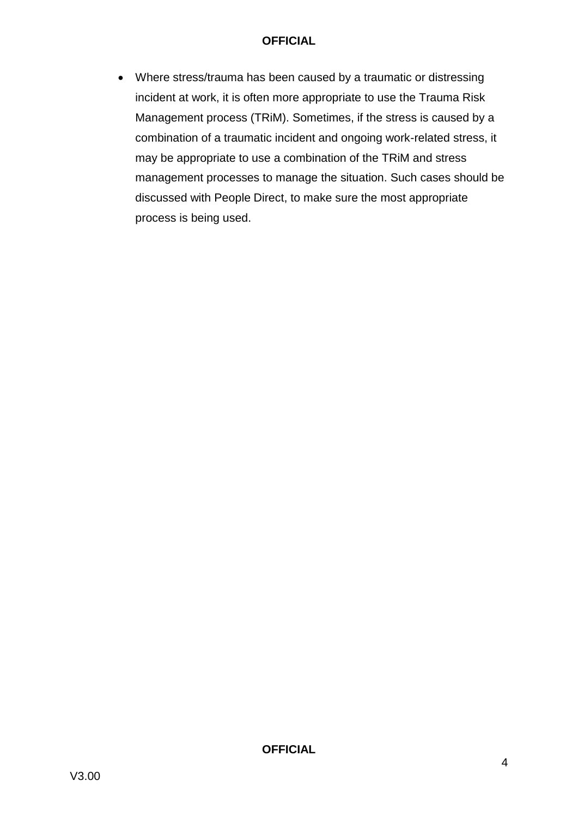Where stress/trauma has been caused by a traumatic or distressing incident at work, it is often more appropriate to use the Trauma Risk Management process (TRiM). Sometimes, if the stress is caused by a combination of a traumatic incident and ongoing work-related stress, it may be appropriate to use a combination of the TRiM and stress management processes to manage the situation. Such cases should be discussed with People Direct, to make sure the most appropriate process is being used.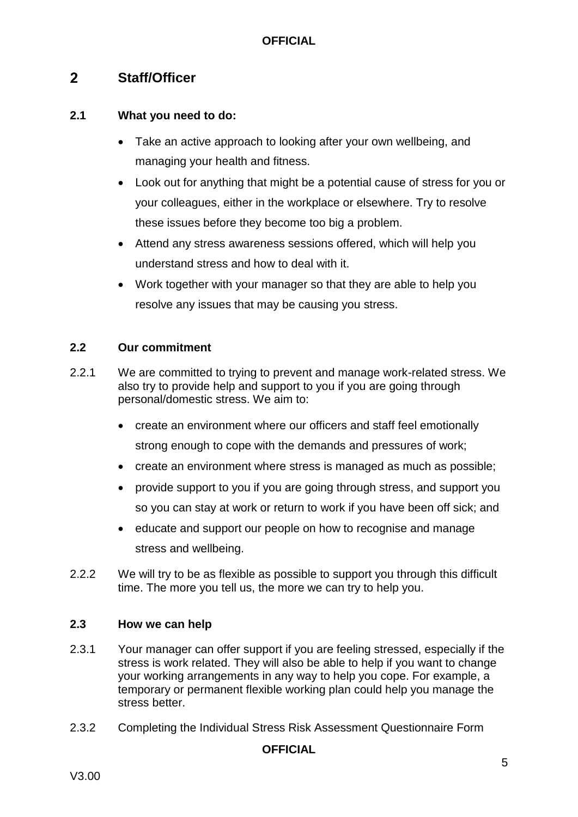#### <span id="page-5-0"></span> $2<sup>1</sup>$ **Staff/Officer**

#### **2.1 What you need to do:**

- Take an active approach to looking after your own wellbeing, and managing your health and fitness.
- Look out for anything that might be a potential cause of stress for you or your colleagues, either in the workplace or elsewhere. Try to resolve these issues before they become too big a problem.
- Attend any stress awareness sessions offered, which will help you understand stress and how to deal with it.
- Work together with your manager so that they are able to help you resolve any issues that may be causing you stress.

#### **2.2 Our commitment**

- 2.2.1 We are committed to trying to prevent and manage work-related stress. We also try to provide help and support to you if you are going through personal/domestic stress. We aim to:
	- create an environment where our officers and staff feel emotionally strong enough to cope with the demands and pressures of work;
	- create an environment where stress is managed as much as possible;
	- provide support to you if you are going through stress, and support you so you can stay at work or return to work if you have been off sick; and
	- educate and support our people on how to recognise and manage stress and wellbeing.
- 2.2.2 We will try to be as flexible as possible to support you through this difficult time. The more you tell us, the more we can try to help you.

#### **2.3 How we can help**

- 2.3.1 Your manager can offer support if you are feeling stressed, especially if the stress is work related. They will also be able to help if you want to change your working arrangements in any way to help you cope. For example, a temporary or permanent flexible working plan could help you manage the stress better.
- 2.3.2 Completing the Individual Stress Risk Assessment Questionnaire Form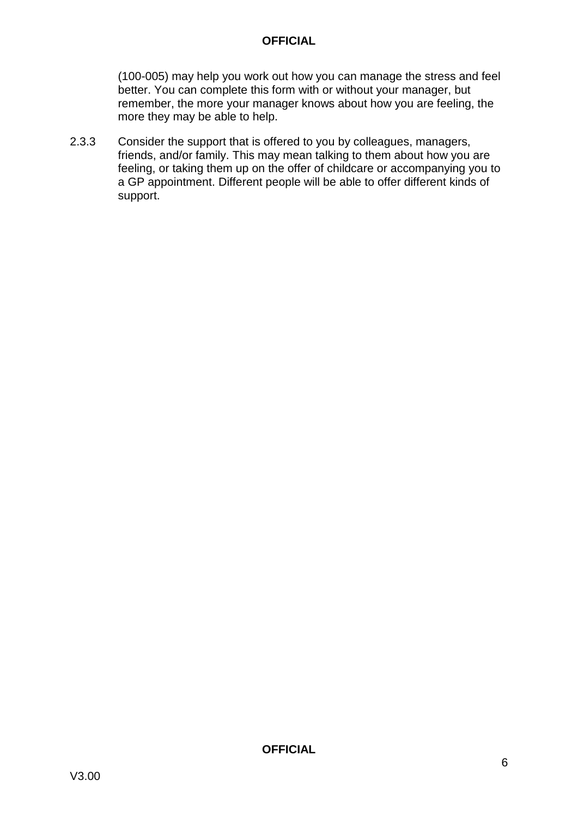(100-005) may help you work out how you can manage the stress and feel better. You can complete this form with or without your manager, but remember, the more your manager knows about how you are feeling, the more they may be able to help.

2.3.3 Consider the support that is offered to you by colleagues, managers, friends, and/or family. This may mean talking to them about how you are feeling, or taking them up on the offer of childcare or accompanying you to a GP appointment. Different people will be able to offer different kinds of support.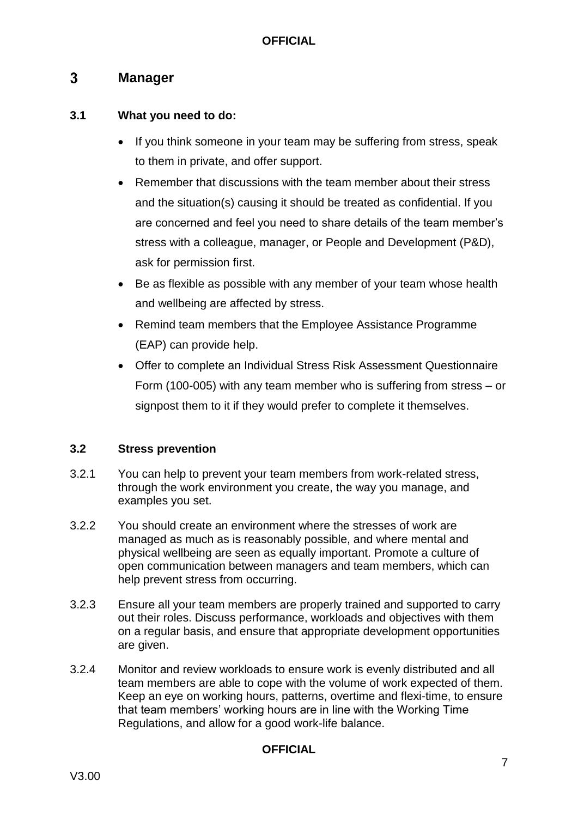#### <span id="page-7-0"></span> $3<sup>1</sup>$ **Manager**

#### **3.1 What you need to do:**

- If you think someone in your team may be suffering from stress, speak to them in private, and offer support.
- Remember that discussions with the team member about their stress and the situation(s) causing it should be treated as confidential. If you are concerned and feel you need to share details of the team member's stress with a colleague, manager, or People and Development (P&D), ask for permission first.
- Be as flexible as possible with any member of your team whose health and wellbeing are affected by stress.
- Remind team members that the Employee Assistance Programme (EAP) can provide help.
- Offer to complete an Individual Stress Risk Assessment Questionnaire Form (100-005) with any team member who is suffering from stress – or signpost them to it if they would prefer to complete it themselves.

#### **3.2 Stress prevention**

- 3.2.1 You can help to prevent your team members from work-related stress, through the work environment you create, the way you manage, and examples you set.
- 3.2.2 You should create an environment where the stresses of work are managed as much as is reasonably possible, and where mental and physical wellbeing are seen as equally important. Promote a culture of open communication between managers and team members, which can help prevent stress from occurring.
- 3.2.3 Ensure all your team members are properly trained and supported to carry out their roles. Discuss performance, workloads and objectives with them on a regular basis, and ensure that appropriate development opportunities are given.
- 3.2.4 Monitor and review workloads to ensure work is evenly distributed and all team members are able to cope with the volume of work expected of them. Keep an eye on working hours, patterns, overtime and flexi-time, to ensure that team members' working hours are in line with the Working Time Regulations, and allow for a good work-life balance.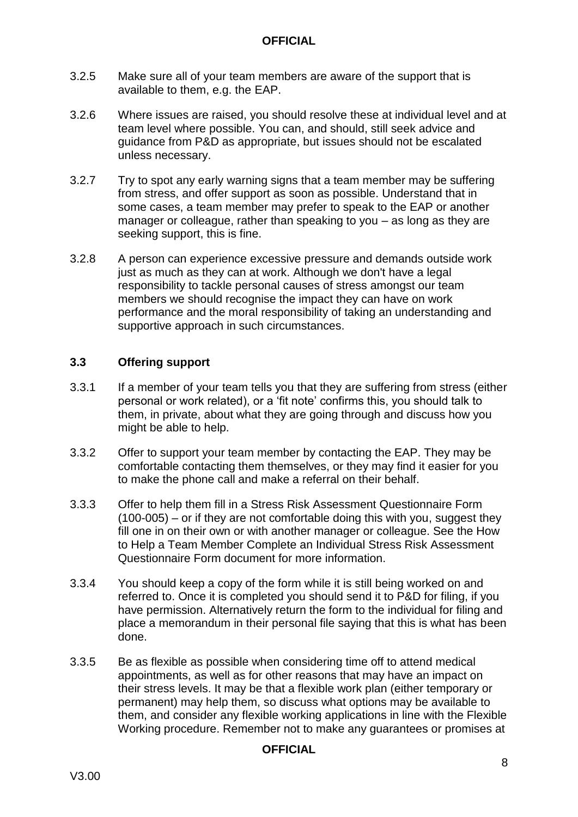- 3.2.5 Make sure all of your team members are aware of the support that is available to them, e.g. the EAP.
- 3.2.6 Where issues are raised, you should resolve these at individual level and at team level where possible. You can, and should, still seek advice and guidance from P&D as appropriate, but issues should not be escalated unless necessary.
- 3.2.7 Try to spot any early warning signs that a team member may be suffering from stress, and offer support as soon as possible. Understand that in some cases, a team member may prefer to speak to the EAP or another manager or colleague, rather than speaking to you – as long as they are seeking support, this is fine.
- 3.2.8 A person can experience excessive pressure and demands outside work just as much as they can at work. Although we don't have a legal responsibility to tackle personal causes of stress amongst our team members we should recognise the impact they can have on work performance and the moral responsibility of taking an understanding and supportive approach in such circumstances.

#### **3.3 Offering support**

- 3.3.1 If a member of your team tells you that they are suffering from stress (either personal or work related), or a 'fit note' confirms this, you should talk to them, in private, about what they are going through and discuss how you might be able to help.
- 3.3.2 Offer to support your team member by contacting the EAP. They may be comfortable contacting them themselves, or they may find it easier for you to make the phone call and make a referral on their behalf.
- 3.3.3 Offer to help them fill in a Stress Risk Assessment Questionnaire Form  $(100-005)$  – or if they are not comfortable doing this with you, suggest they fill one in on their own or with another manager or colleague. See the How to Help a Team Member Complete an Individual Stress Risk Assessment Questionnaire Form document for more information.
- 3.3.4 You should keep a copy of the form while it is still being worked on and referred to. Once it is completed you should send it to P&D for filing, if you have permission. Alternatively return the form to the individual for filing and place a memorandum in their personal file saying that this is what has been done.
- 3.3.5 Be as flexible as possible when considering time off to attend medical appointments, as well as for other reasons that may have an impact on their stress levels. It may be that a flexible work plan (either temporary or permanent) may help them, so discuss what options may be available to them, and consider any flexible working applications in line with the Flexible Working procedure. Remember not to make any guarantees or promises at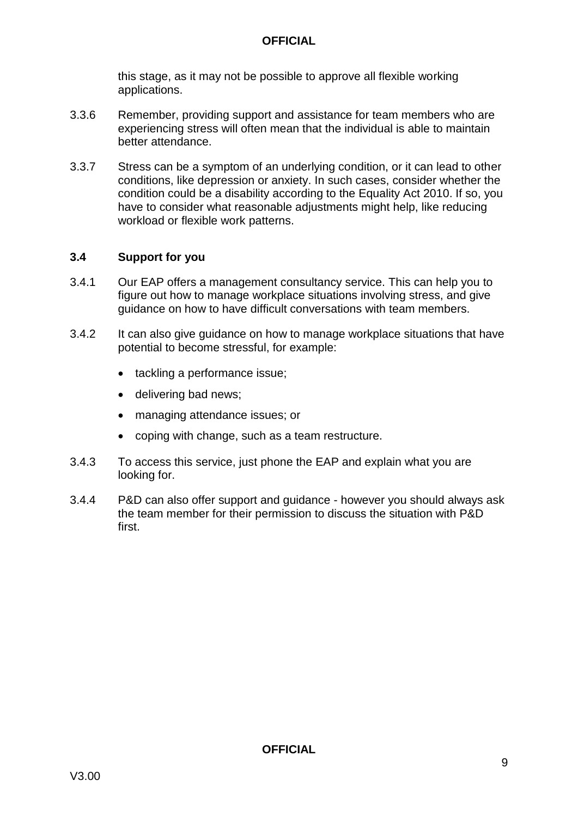this stage, as it may not be possible to approve all flexible working applications.

- 3.3.6 Remember, providing support and assistance for team members who are experiencing stress will often mean that the individual is able to maintain better attendance.
- 3.3.7 Stress can be a symptom of an underlying condition, or it can lead to other conditions, like depression or anxiety. In such cases, consider whether the condition could be a disability according to the Equality Act 2010. If so, you have to consider what reasonable adjustments might help, like reducing workload or flexible work patterns.

#### **3.4 Support for you**

- 3.4.1 Our EAP offers a management consultancy service. This can help you to figure out how to manage workplace situations involving stress, and give guidance on how to have difficult conversations with team members.
- 3.4.2 It can also give guidance on how to manage workplace situations that have potential to become stressful, for example:
	- tackling a performance issue;
	- delivering bad news:
	- managing attendance issues; or
	- coping with change, such as a team restructure.
- 3.4.3 To access this service, just phone the EAP and explain what you are looking for.
- 3.4.4 P&D can also offer support and guidance however you should always ask the team member for their permission to discuss the situation with P&D first.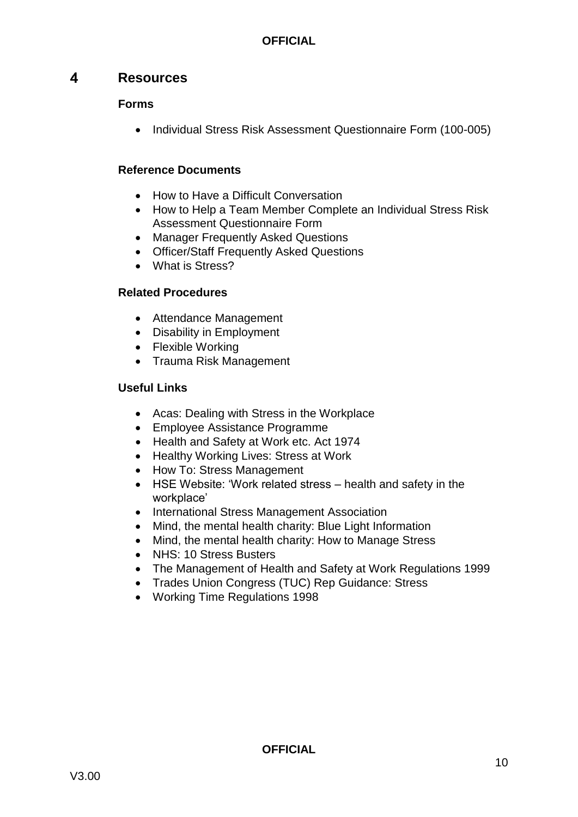#### <span id="page-10-0"></span> $\overline{\mathbf{A}}$ **Resources**

#### **Forms**

• Individual Stress Risk Assessment Questionnaire Form (100-005)

#### **Reference Documents**

- How to Have a Difficult Conversation
- How to Help a Team Member Complete an Individual Stress Risk Assessment Questionnaire Form
- Manager Frequently Asked Questions
- Officer/Staff Frequently Asked Questions
- What is Stress?

#### **Related Procedures**

- Attendance Management
- Disability in Employment
- Flexible Working
- Trauma Risk Management

#### **Useful Links**

- Acas: Dealing with Stress in the Workplace
- Employee Assistance Programme
- Health and Safety at Work etc. Act 1974
- Healthy Working Lives: Stress at Work
- How To: Stress Management
- HSE Website: 'Work related stress health and safety in the workplace'
- International Stress Management Association
- Mind, the mental health charity: Blue Light Information
- Mind, the mental health charity: How to Manage Stress
- NHS: 10 Stress Busters
- The Management of Health and Safety at Work Regulations 1999
- Trades Union Congress (TUC) Rep Guidance: Stress
- Working Time Regulations 1998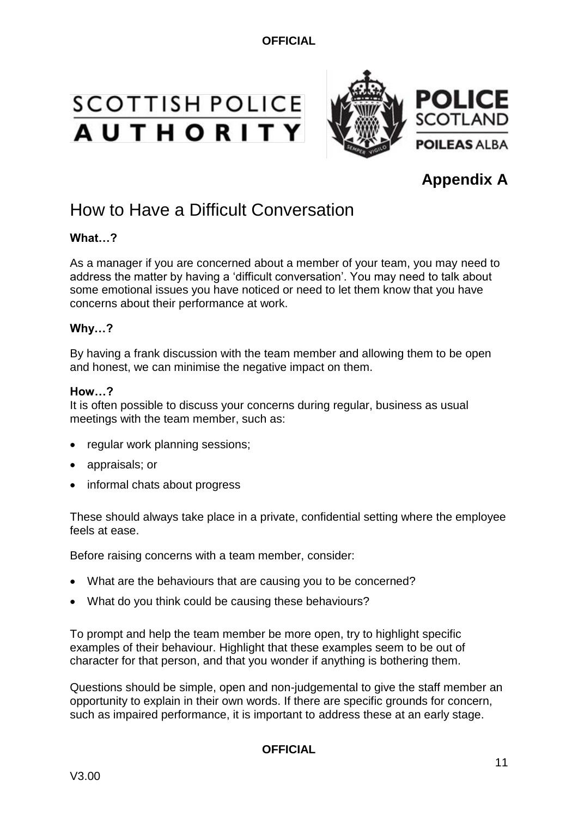# SCOTTISH POLICE<br>AUTHORITY



## **Appendix A**

# How to Have a Difficult Conversation

#### **What…?**

As a manager if you are concerned about a member of your team, you may need to address the matter by having a 'difficult conversation'. You may need to talk about some emotional issues you have noticed or need to let them know that you have concerns about their performance at work.

#### **Why…?**

By having a frank discussion with the team member and allowing them to be open and honest, we can minimise the negative impact on them.

#### **How…?**

It is often possible to discuss your concerns during regular, business as usual meetings with the team member, such as:

- regular work planning sessions;
- appraisals; or
- informal chats about progress

These should always take place in a private, confidential setting where the employee feels at ease.

Before raising concerns with a team member, consider:

- What are the behaviours that are causing you to be concerned?
- What do you think could be causing these behaviours?

To prompt and help the team member be more open, try to highlight specific examples of their behaviour. Highlight that these examples seem to be out of character for that person, and that you wonder if anything is bothering them.

Questions should be simple, open and non-judgemental to give the staff member an opportunity to explain in their own words. If there are specific grounds for concern, such as impaired performance, it is important to address these at an early stage.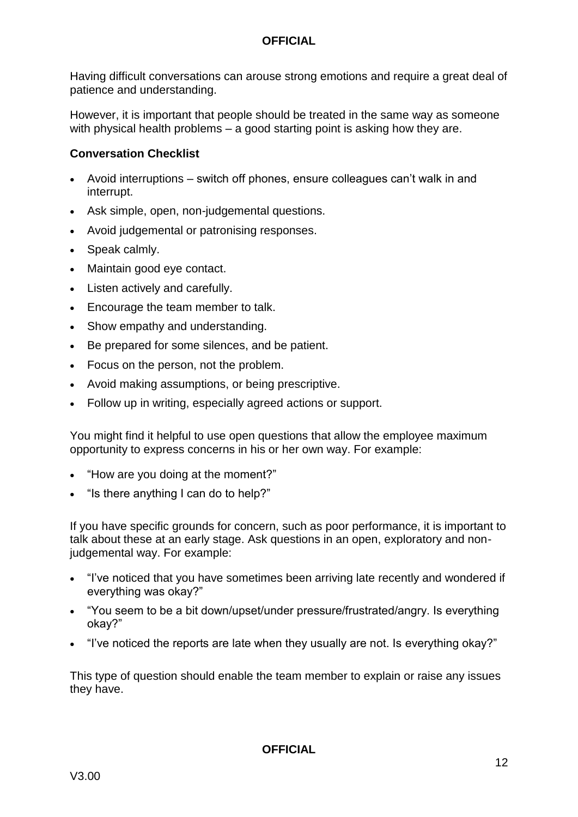Having difficult conversations can arouse strong emotions and require a great deal of patience and understanding.

However, it is important that people should be treated in the same way as someone with physical health problems – a good starting point is asking how they are.

#### **Conversation Checklist**

- Avoid interruptions switch off phones, ensure colleagues can't walk in and interrupt.
- Ask simple, open, non-judgemental questions.
- Avoid judgemental or patronising responses.
- Speak calmly.
- Maintain good eye contact.
- Listen actively and carefully.
- Encourage the team member to talk.
- Show empathy and understanding.
- Be prepared for some silences, and be patient.
- Focus on the person, not the problem.
- Avoid making assumptions, or being prescriptive.
- Follow up in writing, especially agreed actions or support.

You might find it helpful to use open questions that allow the employee maximum opportunity to express concerns in his or her own way. For example:

- "How are you doing at the moment?"
- "Is there anything I can do to help?"

If you have specific grounds for concern, such as poor performance, it is important to talk about these at an early stage. Ask questions in an open, exploratory and nonjudgemental way. For example:

- "I've noticed that you have sometimes been arriving late recently and wondered if everything was okay?"
- "You seem to be a bit down/upset/under pressure/frustrated/angry. Is everything okay?"
- "I've noticed the reports are late when they usually are not. Is everything okay?"

This type of question should enable the team member to explain or raise any issues they have.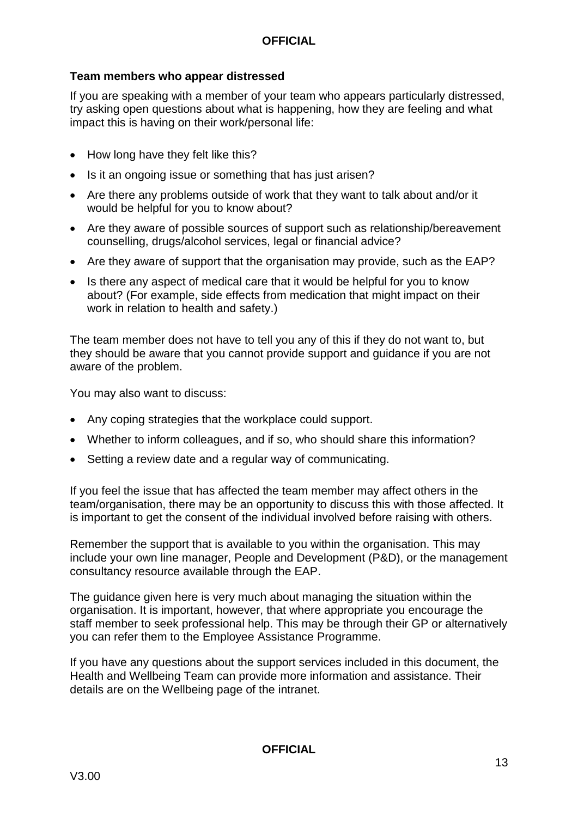#### **Team members who appear distressed**

If you are speaking with a member of your team who appears particularly distressed, try asking open questions about what is happening, how they are feeling and what impact this is having on their work/personal life:

- How long have they felt like this?
- Is it an ongoing issue or something that has just arisen?
- Are there any problems outside of work that they want to talk about and/or it would be helpful for you to know about?
- Are they aware of possible sources of support such as relationship/bereavement counselling, drugs/alcohol services, legal or financial advice?
- Are they aware of support that the organisation may provide, such as the EAP?
- Is there any aspect of medical care that it would be helpful for you to know about? (For example, side effects from medication that might impact on their work in relation to health and safety.)

The team member does not have to tell you any of this if they do not want to, but they should be aware that you cannot provide support and guidance if you are not aware of the problem.

You may also want to discuss:

- Any coping strategies that the workplace could support.
- Whether to inform colleagues, and if so, who should share this information?
- Setting a review date and a regular way of communicating.

If you feel the issue that has affected the team member may affect others in the team/organisation, there may be an opportunity to discuss this with those affected. It is important to get the consent of the individual involved before raising with others.

Remember the support that is available to you within the organisation. This may include your own line manager, People and Development (P&D), or the management consultancy resource available through the EAP.

The guidance given here is very much about managing the situation within the organisation. It is important, however, that where appropriate you encourage the staff member to seek professional help. This may be through their GP or alternatively you can refer them to the Employee Assistance Programme.

If you have any questions about the support services included in this document, the Health and Wellbeing Team can provide more information and assistance. Their details are on the Wellbeing page of the intranet.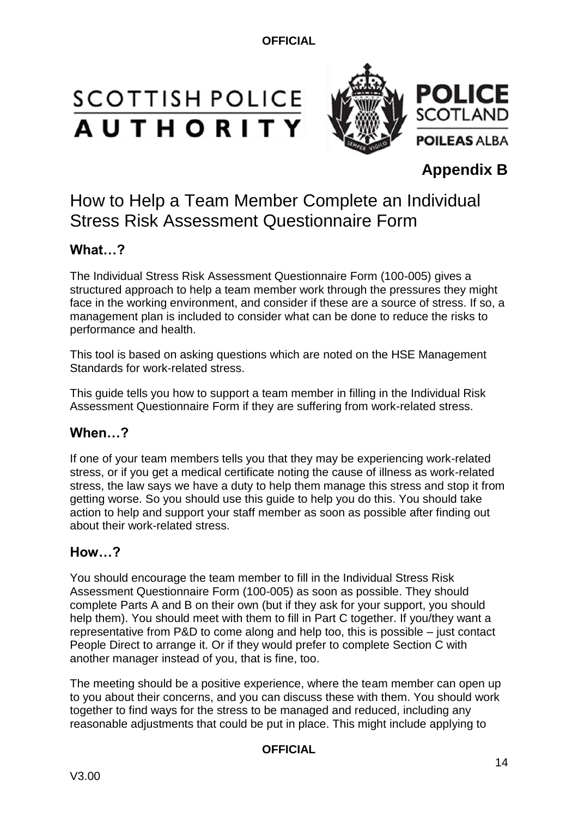# **SCOTTISH POLICE AUTHORITY**



## **Appendix B**

# How to Help a Team Member Complete an Individual Stress Risk Assessment Questionnaire Form

#### **What…?**

The Individual Stress Risk Assessment Questionnaire Form (100-005) gives a structured approach to help a team member work through the pressures they might face in the working environment, and consider if these are a source of stress. If so, a management plan is included to consider what can be done to reduce the risks to performance and health.

This tool is based on asking questions which are noted on the [HSE](http://www.hse.gov.uk/stress/) Management Standards for work-related stress.

This guide tells you how to support a team member in filling in the Individual Risk Assessment Questionnaire Form if they are suffering from work-related stress.

#### **When…?**

If one of your team members tells you that they may be experiencing work-related stress, or if you get a medical certificate noting the cause of illness as work-related stress, the law says we have a duty to help them manage this stress and stop it from getting worse. So you should use this guide to help you do this. You should take action to help and support your staff member as soon as possible after finding out about their work-related stress.

#### **How…?**

You should encourage the team member to fill in the Individual Stress Risk Assessment Questionnaire Form (100-005) as soon as possible. They should complete Parts A and B on their own (but if they ask for your support, you should help them). You should meet with them to fill in Part C together. If you/they want a representative from P&D to come along and help too, this is possible – just contact People Direct to arrange it. Or if they would prefer to complete Section C with another manager instead of you, that is fine, too.

The meeting should be a positive experience, where the team member can open up to you about their concerns, and you can discuss these with them. You should work together to find ways for the stress to be managed and reduced, including any reasonable adjustments that could be put in place. This might include applying to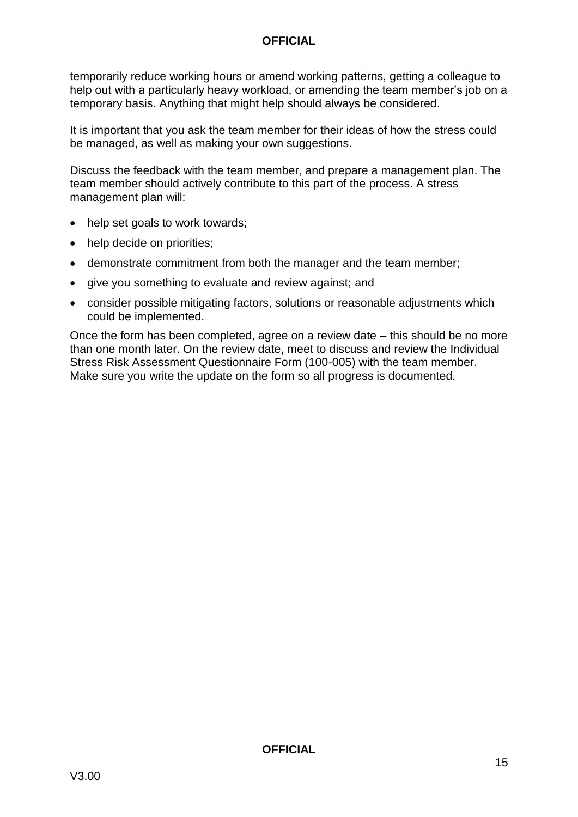temporarily reduce working hours or amend working patterns, getting a colleague to help out with a particularly heavy workload, or amending the team member's job on a temporary basis. Anything that might help should always be considered.

It is important that you ask the team member for their ideas of how the stress could be managed, as well as making your own suggestions.

Discuss the feedback with the team member, and prepare a management plan. The team member should actively contribute to this part of the process. A stress management plan will:

- help set goals to work towards;
- help decide on priorities;
- demonstrate commitment from both the manager and the team member;
- give you something to evaluate and review against: and
- consider possible mitigating factors, solutions or reasonable adjustments which could be implemented.

Once the form has been completed, agree on a review date – this should be no more than one month later. On the review date, meet to discuss and review the Individual Stress Risk Assessment Questionnaire Form (100-005) with the team member. Make sure you write the update on the form so all progress is documented.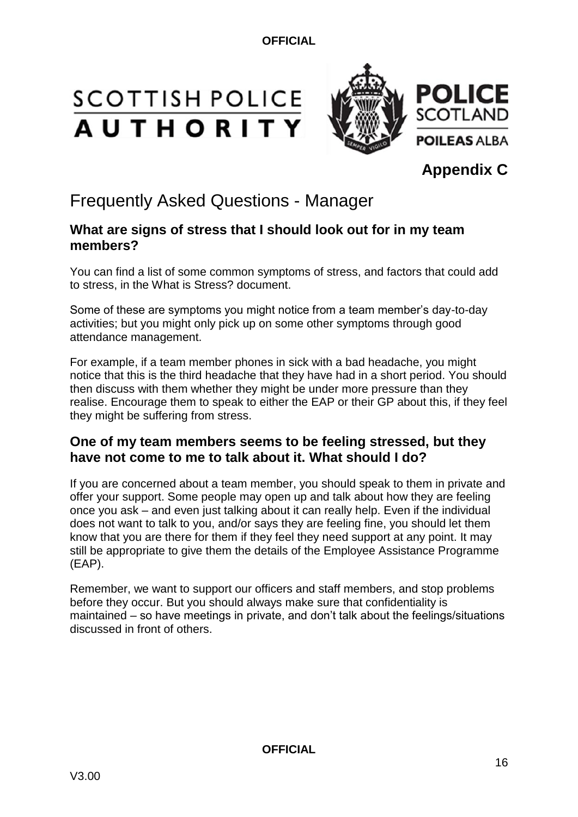# **SCOTTISH POLICE AUTHORITY**



**Appendix C**

# Frequently Asked Questions - Manager

#### **What are signs of stress that I should look out for in my team members?**

You can find a list of some common symptoms of stress, and factors that could add to stress, in the What is Stress? document.

Some of these are symptoms you might notice from a team member's day-to-day activities; but you might only pick up on some other symptoms through good attendance management.

For example, if a team member phones in sick with a bad headache, you might notice that this is the third headache that they have had in a short period. You should then discuss with them whether they might be under more pressure than they realise. Encourage them to speak to either the EAP or their GP about this, if they feel they might be suffering from stress.

#### **One of my team members seems to be feeling stressed, but they have not come to me to talk about it. What should I do?**

If you are concerned about a team member, you should speak to them in private and offer your support. Some people may open up and talk about how they are feeling once you ask – and even just talking about it can really help. Even if the individual does not want to talk to you, and/or says they are feeling fine, you should let them know that you are there for them if they feel they need support at any point. It may still be appropriate to give them the details of the Employee Assistance Programme (EAP).

Remember, we want to support our officers and staff members, and stop problems before they occur. But you should always make sure that confidentiality is maintained – so have meetings in private, and don't talk about the feelings/situations discussed in front of others.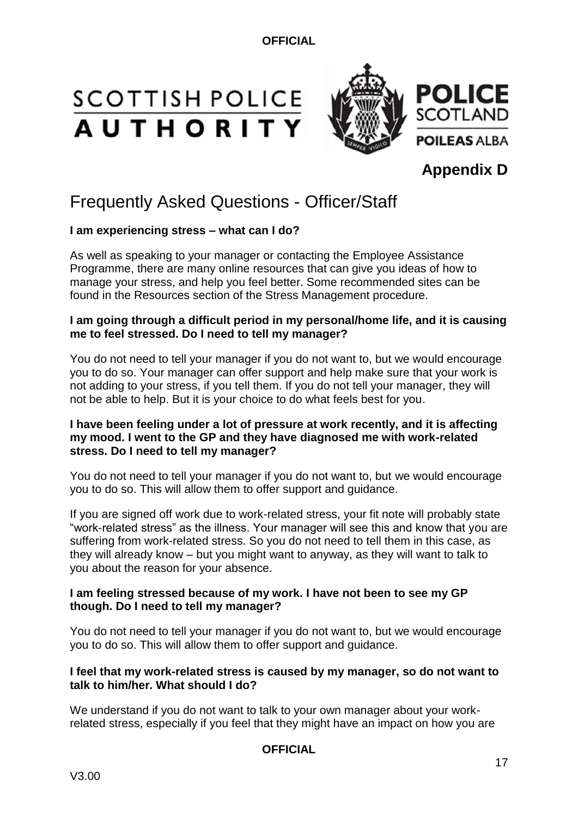# **SCOTTISH POLICE AUTHORITY**



## **Appendix D**

# Frequently Asked Questions - Officer/Staff

#### **I am experiencing stress – what can I do?**

As well as speaking to your manager or contacting the Employee Assistance Programme, there are many online resources that can give you ideas of how to manage your stress, and help you feel better. Some recommended sites can be found in the Resources section of the Stress Management procedure.

#### **I am going through a difficult period in my personal/home life, and it is causing me to feel stressed. Do I need to tell my manager?**

You do not need to tell your manager if you do not want to, but we would encourage you to do so. Your manager can offer support and help make sure that your work is not adding to your stress, if you tell them. If you do not tell your manager, they will not be able to help. But it is your choice to do what feels best for you.

#### **I have been feeling under a lot of pressure at work recently, and it is affecting my mood. I went to the GP and they have diagnosed me with work-related stress. Do I need to tell my manager?**

You do not need to tell your manager if you do not want to, but we would encourage you to do so. This will allow them to offer support and guidance.

If you are signed off work due to work-related stress, your fit note will probably state "work-related stress" as the illness. Your manager will see this and know that you are suffering from work-related stress. So you do not need to tell them in this case, as they will already know – but you might want to anyway, as they will want to talk to you about the reason for your absence.

#### **I am feeling stressed because of my work. I have not been to see my GP though. Do I need to tell my manager?**

You do not need to tell your manager if you do not want to, but we would encourage you to do so. This will allow them to offer support and guidance.

#### **I feel that my work-related stress is caused by my manager, so do not want to talk to him/her. What should I do?**

We understand if you do not want to talk to your own manager about your workrelated stress, especially if you feel that they might have an impact on how you are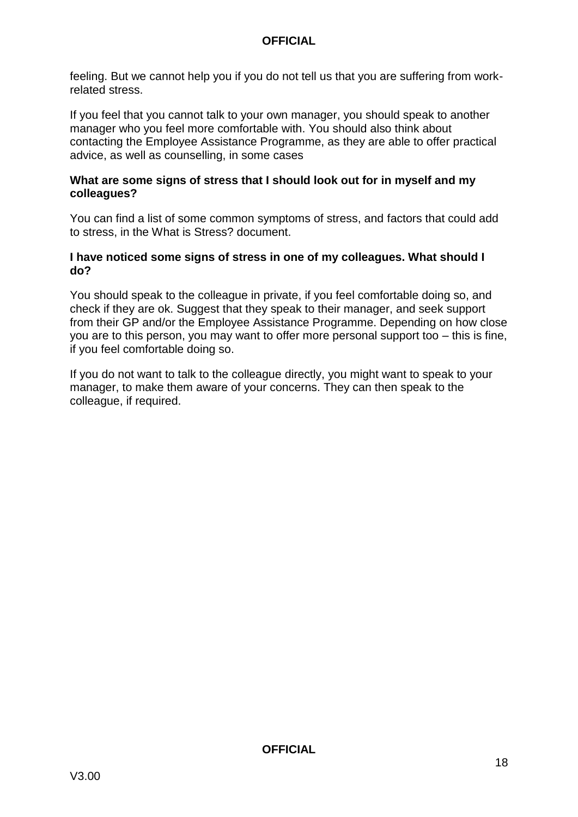feeling. But we cannot help you if you do not tell us that you are suffering from workrelated stress.

If you feel that you cannot talk to your own manager, you should speak to another manager who you feel more comfortable with. You should also think about contacting the Employee Assistance Programme, as they are able to offer practical advice, as well as counselling, in some cases

#### **What are some signs of stress that I should look out for in myself and my colleagues?**

You can find a list of some common symptoms of stress, and factors that could add to stress, in the What is Stress? document.

#### **I have noticed some signs of stress in one of my colleagues. What should I do?**

You should speak to the colleague in private, if you feel comfortable doing so, and check if they are ok. Suggest that they speak to their manager, and seek support from their GP and/or the Employee Assistance Programme. Depending on how close you are to this person, you may want to offer more personal support too – this is fine, if you feel comfortable doing so.

If you do not want to talk to the colleague directly, you might want to speak to your manager, to make them aware of your concerns. They can then speak to the colleague, if required.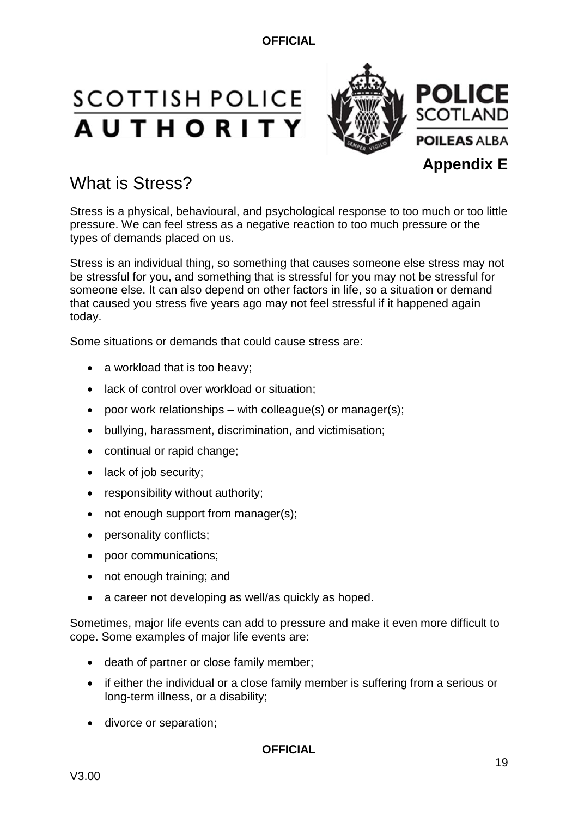# **SCOTTISH POLICE AUTHORITY**



# What is Stress?

Stress is a physical, behavioural, and psychological response to too much or too little pressure. We can feel stress as a negative reaction to too much pressure or the types of demands placed on us.

Stress is an individual thing, so something that causes someone else stress may not be stressful for you, and something that is stressful for you may not be stressful for someone else. It can also depend on other factors in life, so a situation or demand that caused you stress five years ago may not feel stressful if it happened again today.

Some situations or demands that could cause stress are:

- a workload that is too heavy:
- lack of control over workload or situation:
- poor work relationships with colleague(s) or manager(s):
- bullying, harassment, discrimination, and victimisation;
- continual or rapid change;
- lack of job security;
- responsibility without authority;
- not enough support from manager(s);
- personality conflicts;
- poor communications;
- not enough training; and
- a career not developing as well/as quickly as hoped.

Sometimes, major life events can add to pressure and make it even more difficult to cope. Some examples of major life events are:

- death of partner or close family member;
- if either the individual or a close family member is suffering from a serious or long-term illness, or a disability;
- divorce or separation;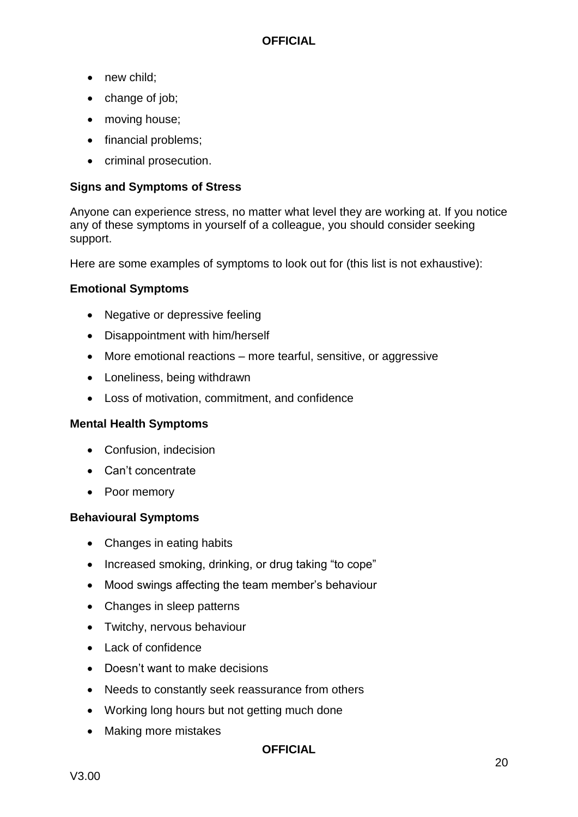- new child;
- change of job;
- moving house;
- financial problems;
- criminal prosecution.

#### **Signs and Symptoms of Stress**

Anyone can experience stress, no matter what level they are working at. If you notice any of these symptoms in yourself of a colleague, you should consider seeking support.

Here are some examples of symptoms to look out for (this list is not exhaustive):

#### **Emotional Symptoms**

- Negative or depressive feeling
- Disappointment with him/herself
- More emotional reactions more tearful, sensitive, or aggressive
- Loneliness, being withdrawn
- Loss of motivation, commitment, and confidence

#### **Mental Health Symptoms**

- Confusion, indecision
- Can't concentrate
- Poor memory

#### **Behavioural Symptoms**

- Changes in eating habits
- Increased smoking, drinking, or drug taking "to cope"
- Mood swings affecting the team member's behaviour
- Changes in sleep patterns
- Twitchy, nervous behaviour
- Lack of confidence
- Doesn't want to make decisions
- Needs to constantly seek reassurance from others
- Working long hours but not getting much done
- Making more mistakes